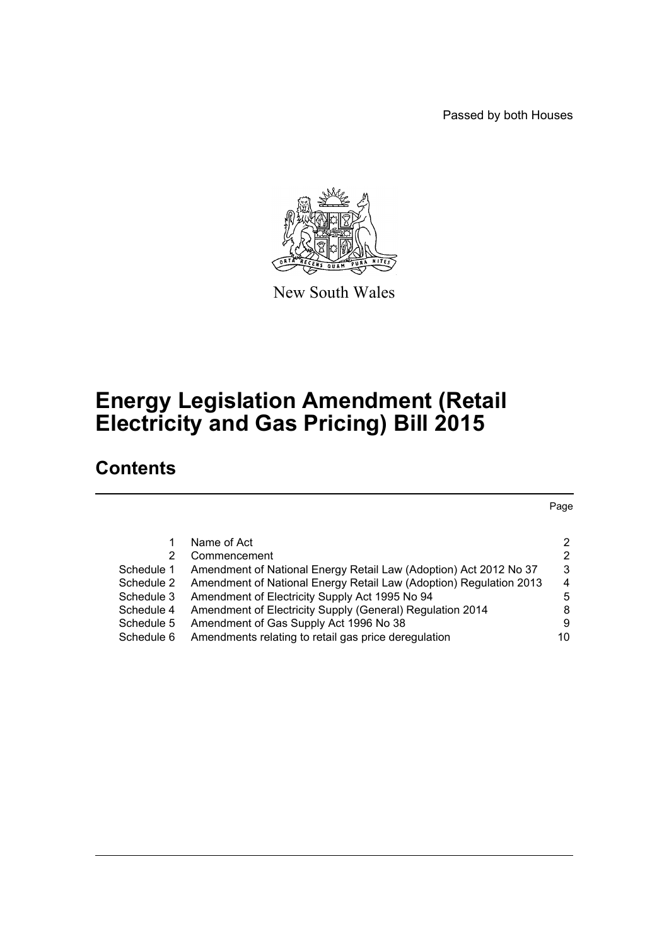Passed by both Houses

Page



New South Wales

# **Energy Legislation Amendment (Retail Electricity and Gas Pricing) Bill 2015**

# **Contents**

[1 Name of Act 2](#page-2-0) [2 Commencement 2](#page-2-1) 2 [Schedule 1 Amendment of National Energy Retail Law \(Adoption\) Act 2012 No 37 3](#page-3-0) [Schedule 2 Amendment of National Energy Retail Law \(Adoption\) Regulation 2013 4](#page-4-0) [Schedule 3 Amendment of Electricity Supply Act 1995 No 94 5](#page-5-0) [Schedule 4 Amendment of Electricity Supply \(General\) Regulation 2014 8](#page-8-0) [Schedule 5 Amendment of Gas Supply Act 1996 No 38 9](#page-9-0) Schedule 6 Amendments relating to retail gas price deregulation  $10$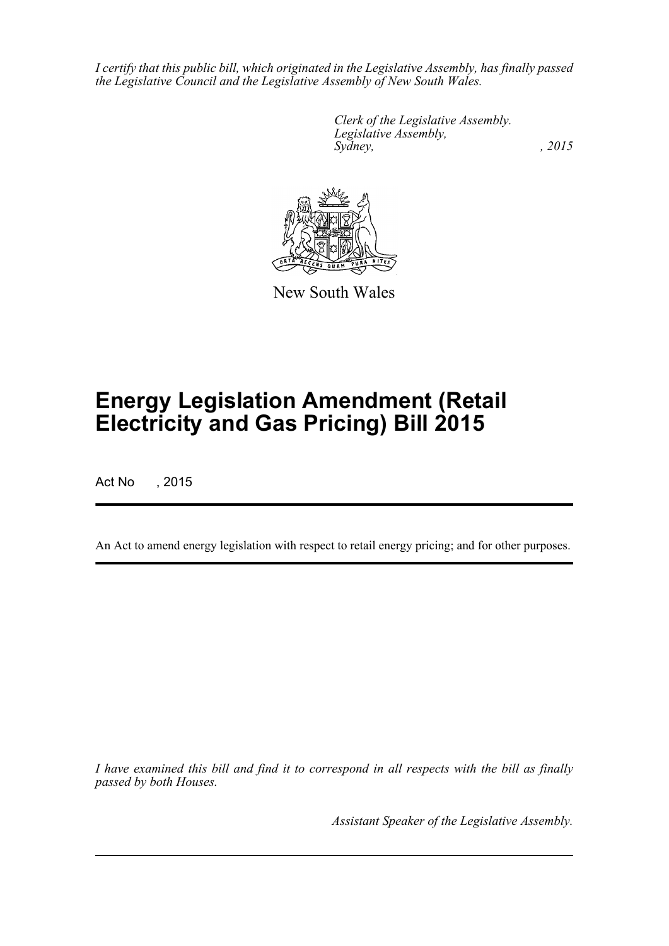*I certify that this public bill, which originated in the Legislative Assembly, has finally passed the Legislative Council and the Legislative Assembly of New South Wales.*

> *Clerk of the Legislative Assembly. Legislative Assembly, Sydney,* , 2015



New South Wales

# **Energy Legislation Amendment (Retail Electricity and Gas Pricing) Bill 2015**

Act No , 2015

An Act to amend energy legislation with respect to retail energy pricing; and for other purposes.

*I have examined this bill and find it to correspond in all respects with the bill as finally passed by both Houses.*

*Assistant Speaker of the Legislative Assembly.*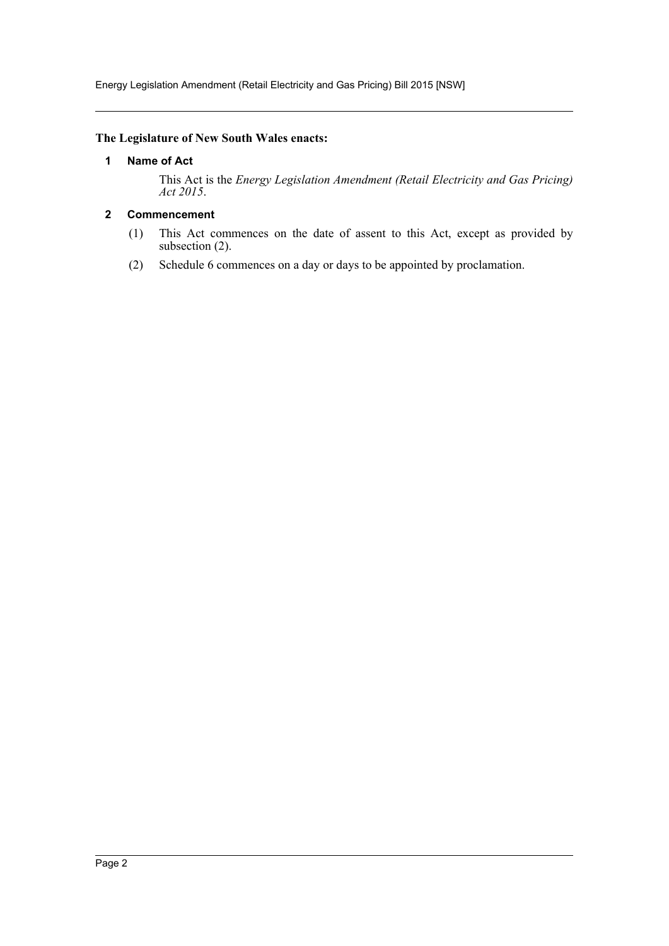Energy Legislation Amendment (Retail Electricity and Gas Pricing) Bill 2015 [NSW]

#### <span id="page-2-0"></span>**The Legislature of New South Wales enacts:**

### **1 Name of Act**

This Act is the *Energy Legislation Amendment (Retail Electricity and Gas Pricing) Act 2015*.

### <span id="page-2-1"></span>**2 Commencement**

- (1) This Act commences on the date of assent to this Act, except as provided by subsection (2).
- (2) Schedule 6 commences on a day or days to be appointed by proclamation.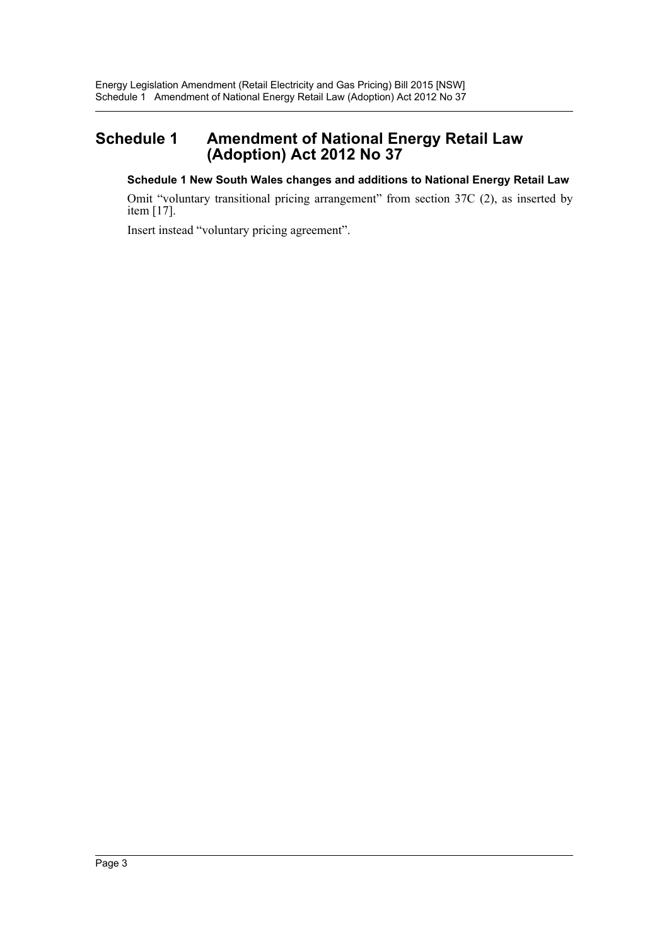## <span id="page-3-0"></span>**Schedule 1 Amendment of National Energy Retail Law (Adoption) Act 2012 No 37**

### **Schedule 1 New South Wales changes and additions to National Energy Retail Law**

Omit "voluntary transitional pricing arrangement" from section 37C (2), as inserted by item [17].

Insert instead "voluntary pricing agreement".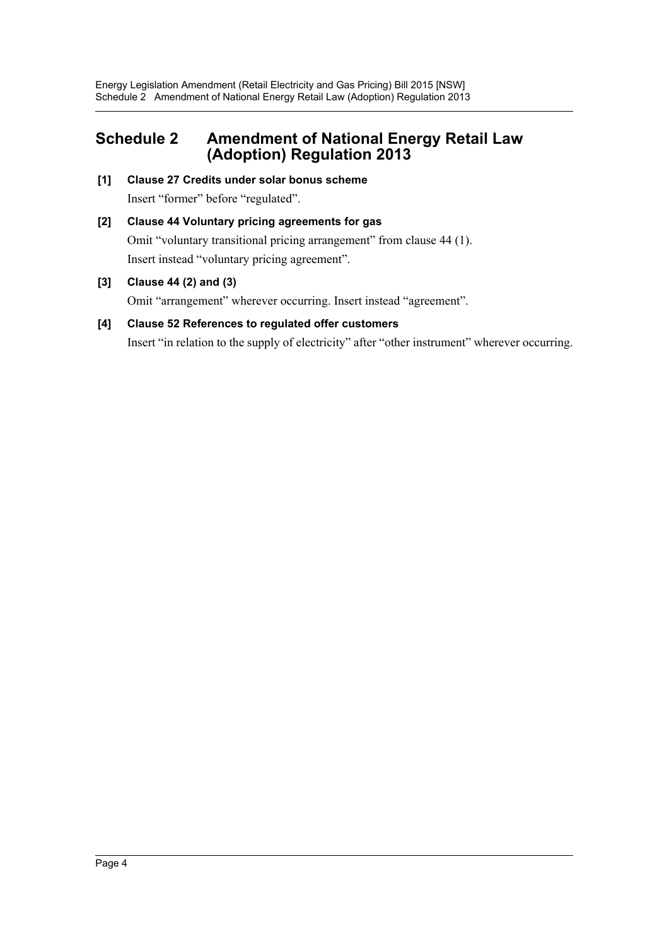## <span id="page-4-0"></span>**Schedule 2 Amendment of National Energy Retail Law (Adoption) Regulation 2013**

- **[1] Clause 27 Credits under solar bonus scheme** Insert "former" before "regulated".
- **[2] Clause 44 Voluntary pricing agreements for gas** Omit "voluntary transitional pricing arrangement" from clause 44 (1). Insert instead "voluntary pricing agreement".
- **[3] Clause 44 (2) and (3)**

Omit "arrangement" wherever occurring. Insert instead "agreement".

### **[4] Clause 52 References to regulated offer customers** Insert "in relation to the supply of electricity" after "other instrument" wherever occurring.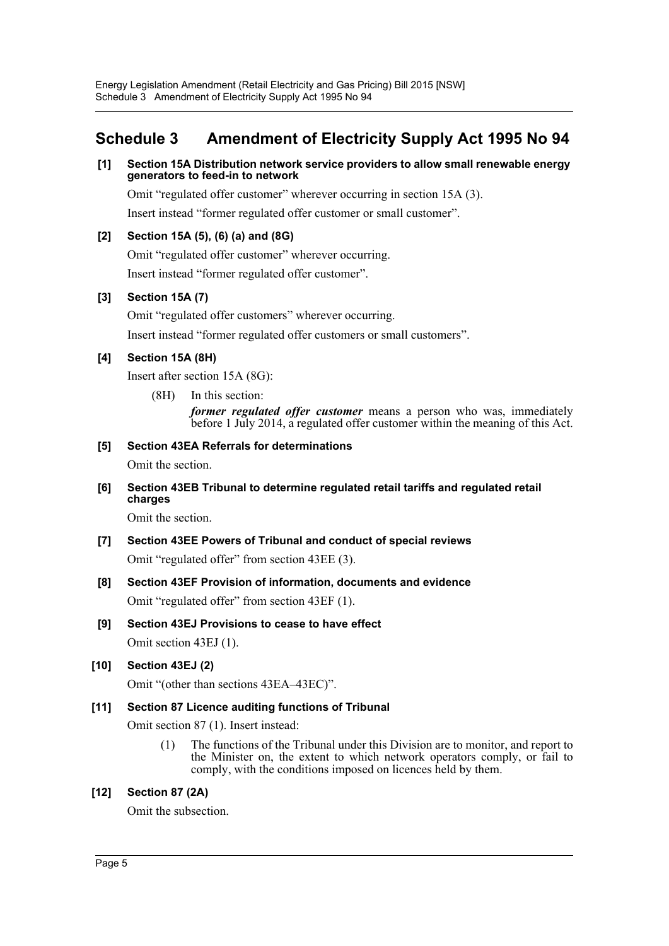## <span id="page-5-0"></span>**Schedule 3 Amendment of Electricity Supply Act 1995 No 94**

### **[1] Section 15A Distribution network service providers to allow small renewable energy generators to feed-in to network**

Omit "regulated offer customer" wherever occurring in section 15A (3).

Insert instead "former regulated offer customer or small customer".

### **[2] Section 15A (5), (6) (a) and (8G)**

Omit "regulated offer customer" wherever occurring. Insert instead "former regulated offer customer".

### **[3] Section 15A (7)**

Omit "regulated offer customers" wherever occurring.

Insert instead "former regulated offer customers or small customers".

### **[4] Section 15A (8H)**

Insert after section 15A (8G):

(8H) In this section:

*former regulated offer customer* means a person who was, immediately before 1 July 2014, a regulated offer customer within the meaning of this Act.

### **[5] Section 43EA Referrals for determinations**

Omit the section.

**[6] Section 43EB Tribunal to determine regulated retail tariffs and regulated retail charges**

Omit the section.

- **[7] Section 43EE Powers of Tribunal and conduct of special reviews** Omit "regulated offer" from section 43EE (3).
- **[8] Section 43EF Provision of information, documents and evidence** Omit "regulated offer" from section 43EF (1).
- **[9] Section 43EJ Provisions to cease to have effect**

Omit section 43EJ (1).

### **[10] Section 43EJ (2)**

Omit "(other than sections 43EA–43EC)".

### **[11] Section 87 Licence auditing functions of Tribunal**

Omit section 87 (1). Insert instead:

(1) The functions of the Tribunal under this Division are to monitor, and report to the Minister on, the extent to which network operators comply, or fail to comply, with the conditions imposed on licences held by them.

### **[12] Section 87 (2A)**

Omit the subsection.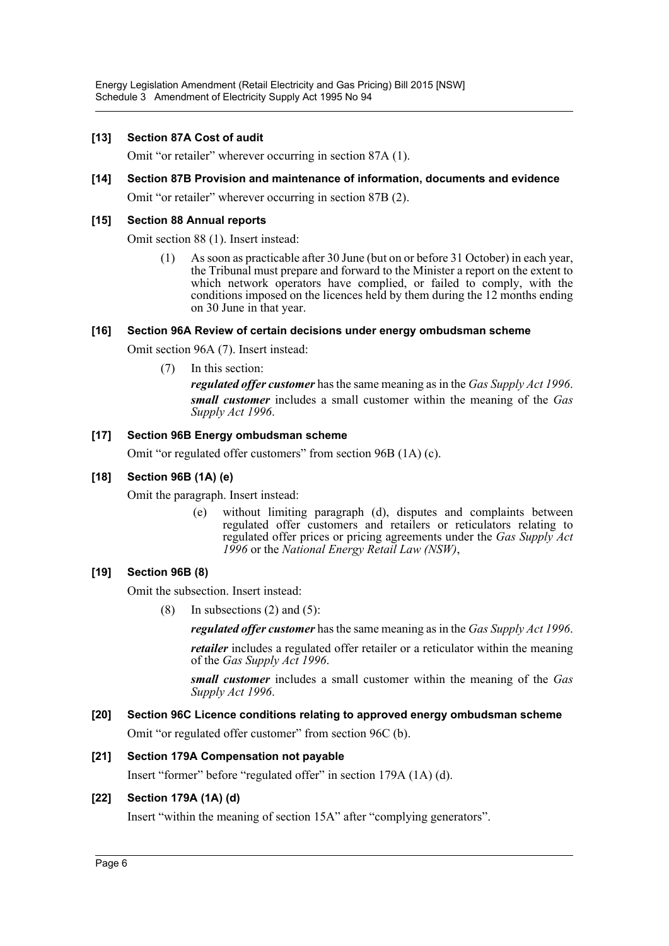Energy Legislation Amendment (Retail Electricity and Gas Pricing) Bill 2015 [NSW] Schedule 3 Amendment of Electricity Supply Act 1995 No 94

#### **[13] Section 87A Cost of audit**

Omit "or retailer" wherever occurring in section 87A (1).

### **[14] Section 87B Provision and maintenance of information, documents and evidence**

Omit "or retailer" wherever occurring in section 87B (2).

#### **[15] Section 88 Annual reports**

Omit section 88 (1). Insert instead:

(1) As soon as practicable after 30 June (but on or before 31 October) in each year, the Tribunal must prepare and forward to the Minister a report on the extent to which network operators have complied, or failed to comply, with the conditions imposed on the licences held by them during the 12 months ending on 30 June in that year.

### **[16] Section 96A Review of certain decisions under energy ombudsman scheme**

Omit section 96A (7). Insert instead:

(7) In this section:

*regulated offer customer* has the same meaning as in the *Gas Supply Act 1996*. *small customer* includes a small customer within the meaning of the *Gas Supply Act 1996*.

#### **[17] Section 96B Energy ombudsman scheme**

Omit "or regulated offer customers" from section 96B (1A) (c).

#### **[18] Section 96B (1A) (e)**

Omit the paragraph. Insert instead:

(e) without limiting paragraph (d), disputes and complaints between regulated offer customers and retailers or reticulators relating to regulated offer prices or pricing agreements under the *Gas Supply Act 1996* or the *National Energy Retail Law (NSW)*,

### **[19] Section 96B (8)**

Omit the subsection. Insert instead:

(8) In subsections  $(2)$  and  $(5)$ :

*regulated offer customer* has the same meaning as in the *Gas Supply Act 1996*.

*retailer* includes a regulated offer retailer or a reticulator within the meaning of the *Gas Supply Act 1996*.

*small customer* includes a small customer within the meaning of the *Gas Supply Act 1996*.

#### **[20] Section 96C Licence conditions relating to approved energy ombudsman scheme**

Omit "or regulated offer customer" from section 96C (b).

#### **[21] Section 179A Compensation not payable**

Insert "former" before "regulated offer" in section 179A (1A) (d).

#### **[22] Section 179A (1A) (d)**

Insert "within the meaning of section 15A" after "complying generators".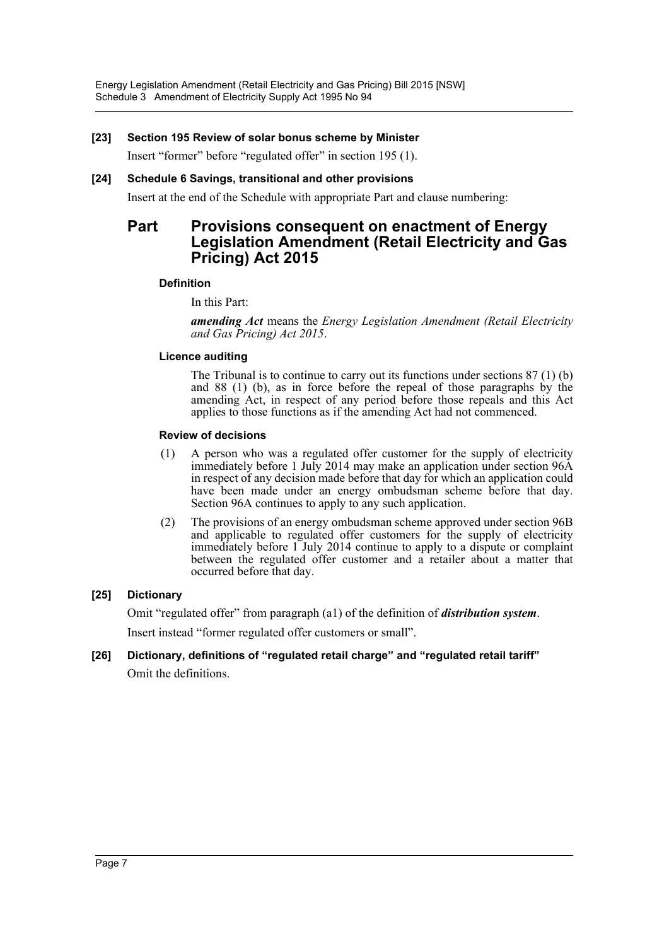### **[23] Section 195 Review of solar bonus scheme by Minister**

Insert "former" before "regulated offer" in section 195 (1).

### **[24] Schedule 6 Savings, transitional and other provisions**

Insert at the end of the Schedule with appropriate Part and clause numbering:

### **Part Provisions consequent on enactment of Energy Legislation Amendment (Retail Electricity and Gas Pricing) Act 2015**

### **Definition**

In this Part:

*amending Act* means the *Energy Legislation Amendment (Retail Electricity and Gas Pricing) Act 2015*.

#### **Licence auditing**

The Tribunal is to continue to carry out its functions under sections 87 (1) (b) and 88 (1) (b), as in force before the repeal of those paragraphs by the amending Act, in respect of any period before those repeals and this Act applies to those functions as if the amending Act had not commenced.

#### **Review of decisions**

- (1) A person who was a regulated offer customer for the supply of electricity immediately before 1 July 2014 may make an application under section 96A in respect of any decision made before that day for which an application could have been made under an energy ombudsman scheme before that day. Section 96A continues to apply to any such application.
- (2) The provisions of an energy ombudsman scheme approved under section 96B and applicable to regulated offer customers for the supply of electricity immediately before 1 July 2014 continue to apply to a dispute or complaint between the regulated offer customer and a retailer about a matter that occurred before that day.

### **[25] Dictionary**

Omit "regulated offer" from paragraph (a1) of the definition of *distribution system*.

Insert instead "former regulated offer customers or small".

### **[26] Dictionary, definitions of "regulated retail charge" and "regulated retail tariff"** Omit the definitions.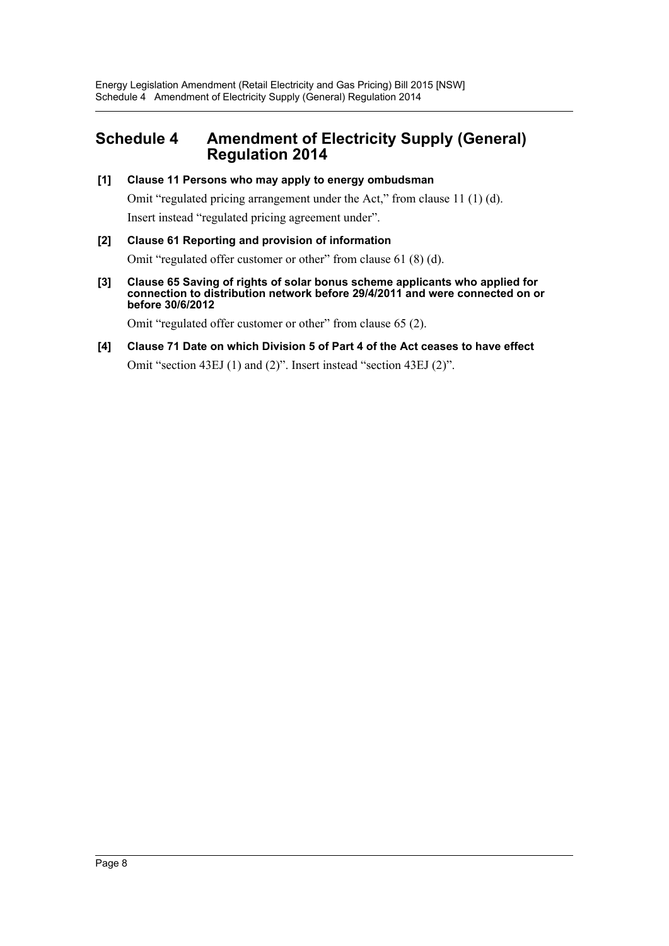### <span id="page-8-0"></span>**Schedule 4 Amendment of Electricity Supply (General) Regulation 2014**

### **[1] Clause 11 Persons who may apply to energy ombudsman**

Omit "regulated pricing arrangement under the Act," from clause 11 (1) (d). Insert instead "regulated pricing agreement under".

### **[2] Clause 61 Reporting and provision of information**

Omit "regulated offer customer or other" from clause 61 (8) (d).

**[3] Clause 65 Saving of rights of solar bonus scheme applicants who applied for connection to distribution network before 29/4/2011 and were connected on or before 30/6/2012**

Omit "regulated offer customer or other" from clause 65 (2).

**[4] Clause 71 Date on which Division 5 of Part 4 of the Act ceases to have effect** Omit "section 43EJ (1) and (2)". Insert instead "section 43EJ (2)".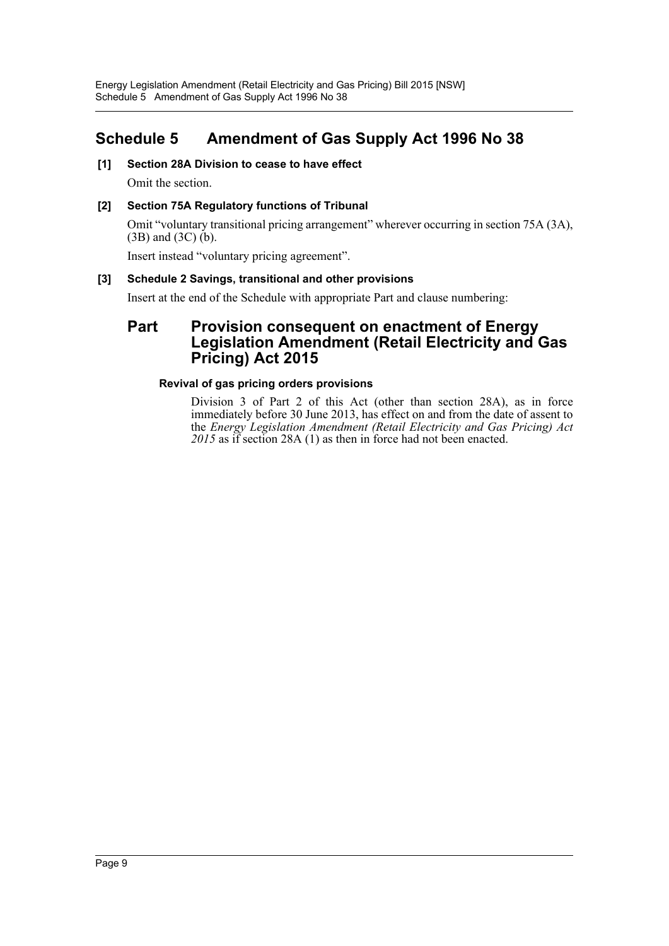# <span id="page-9-0"></span>**Schedule 5 Amendment of Gas Supply Act 1996 No 38**

**[1] Section 28A Division to cease to have effect**

Omit the section.

### **[2] Section 75A Regulatory functions of Tribunal**

Omit "voluntary transitional pricing arrangement" wherever occurring in section 75A (3A), (3B) and (3C) (b).

Insert instead "voluntary pricing agreement".

### **[3] Schedule 2 Savings, transitional and other provisions**

Insert at the end of the Schedule with appropriate Part and clause numbering:

### **Part Provision consequent on enactment of Energy Legislation Amendment (Retail Electricity and Gas Pricing) Act 2015**

### **Revival of gas pricing orders provisions**

Division 3 of Part 2 of this Act (other than section 28A), as in force immediately before 30 June 2013, has effect on and from the date of assent to the *Energy Legislation Amendment (Retail Electricity and Gas Pricing) Act 2015* as if section 28A (1) as then in force had not been enacted.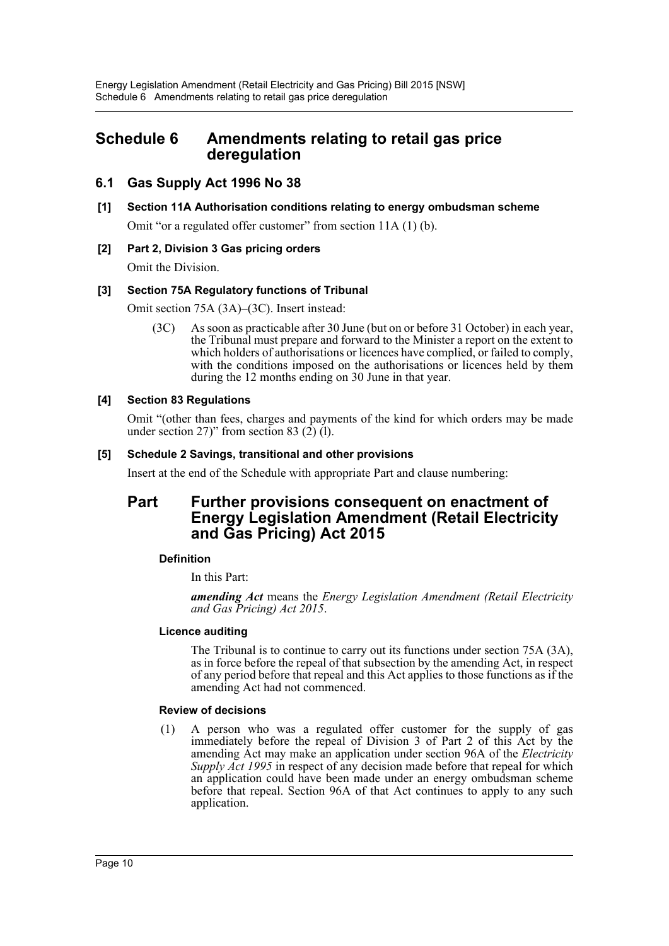### <span id="page-10-0"></span>**Schedule 6 Amendments relating to retail gas price deregulation**

### **6.1 Gas Supply Act 1996 No 38**

**[1] Section 11A Authorisation conditions relating to energy ombudsman scheme**

Omit "or a regulated offer customer" from section 11A (1) (b).

### **[2] Part 2, Division 3 Gas pricing orders**

Omit the Division.

### **[3] Section 75A Regulatory functions of Tribunal**

Omit section 75A (3A)–(3C). Insert instead:

(3C) As soon as practicable after 30 June (but on or before 31 October) in each year, the Tribunal must prepare and forward to the Minister a report on the extent to which holders of authorisations or licences have complied, or failed to comply, with the conditions imposed on the authorisations or licences held by them during the 12 months ending on 30 June in that year.

### **[4] Section 83 Regulations**

Omit "(other than fees, charges and payments of the kind for which orders may be made under section  $27$ )" from section 83 (2) (1).

### **[5] Schedule 2 Savings, transitional and other provisions**

Insert at the end of the Schedule with appropriate Part and clause numbering:

### **Part Further provisions consequent on enactment of Energy Legislation Amendment (Retail Electricity and Gas Pricing) Act 2015**

#### **Definition**

In this Part:

*amending Act* means the *Energy Legislation Amendment (Retail Electricity and Gas Pricing) Act 2015*.

#### **Licence auditing**

The Tribunal is to continue to carry out its functions under section 75A (3A), as in force before the repeal of that subsection by the amending Act, in respect of any period before that repeal and this Act applies to those functions as if the amending Act had not commenced.

#### **Review of decisions**

(1) A person who was a regulated offer customer for the supply of gas immediately before the repeal of Division 3 of Part 2 of this Act by the amending Act may make an application under section 96A of the *Electricity Supply Act 1995* in respect of any decision made before that repeal for which an application could have been made under an energy ombudsman scheme before that repeal. Section 96A of that Act continues to apply to any such application.